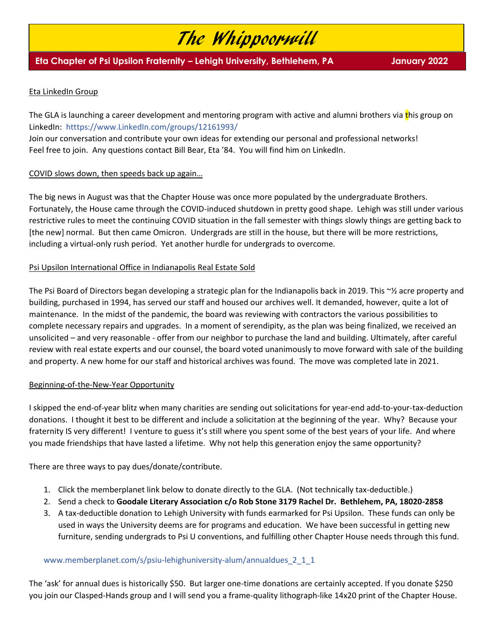# The Whippoorwill

#### Eta LinkedIn Group

The GLA is launching a career development and mentoring program with active and alumni brothers via this group on LinkedIn: htttps://www.LinkedIn.com/groups/12161993/

Join our conversation and contribute your own ideas for extending our personal and professional networks! Feel free to join. Any questions contact Bill Bear, Eta '84. You will find him on LinkedIn.

#### COVID slows down, then speeds back up again…

The big news in August was that the Chapter House was once more populated by the undergraduate Brothers. Fortunately, the House came through the COVID-induced shutdown in pretty good shape. Lehigh was still under various restrictive rules to meet the continuing COVID situation in the fall semester with things slowly things are getting back to [the new] normal. But then came Omicron. Undergrads are still in the house, but there will be more restrictions, including a virtual-only rush period. Yet another hurdle for undergrads to overcome.

## Psi Upsilon International Office in Indianapolis Real Estate Sold

The Psi Board of Directors began developing a strategic plan for the Indianapolis back in 2019. This ~½ acre property and building, purchased in 1994, has served our staff and housed our archives well. It demanded, however, quite a lot of maintenance. In the midst of the pandemic, the board was reviewing with contractors the various possibilities to complete necessary repairs and upgrades. In a moment of serendipity, as the plan was being finalized, we received an unsolicited – and very reasonable - offer from our neighbor to purchase the land and building. Ultimately, after careful review with real estate experts and our counsel, the board voted unanimously to move forward with sale of the building and property. A new home for our staff and historical archives was found. The move was completed late in 2021.

# Beginning-of-the-New-Year Opportunity

I skipped the end-of-year blitz when many charities are sending out solicitations for year-end add-to-your-tax-deduction donations. I thought it best to be different and include a solicitation at the beginning of the year. Why? Because your fraternity IS very different! I venture to guess it's still where you spent some of the best years of your life. And where you made friendships that have lasted a lifetime. Why not help this generation enjoy the same opportunity?

There are three ways to pay dues/donate/contribute.

- 1. Click the memberplanet link below to donate directly to the GLA. (Not technically tax-deductible.)
- 2. Send a check to **Goodale Literary Association c/o Rob Stone 3179 Rachel Dr. Bethlehem, PA, 18020-2858**
- 3. A tax-deductible donation to Lehigh University with funds earmarked for Psi Upsilon. These funds can only be used in ways the University deems are for programs and education. We have been successful in getting new furniture, sending undergrads to Psi U conventions, and fulfilling other Chapter House needs through this fund.

# www.memberplanet.com/s/psiu-lehighuniversity-alum/annualdues\_2\_1\_1

The 'ask' for annual dues is historically \$50. But larger one-time donations are certainly accepted. If you donate \$250 you join our Clasped-Hands group and I will send you a frame-quality lithograph-like 14x20 print of the Chapter House.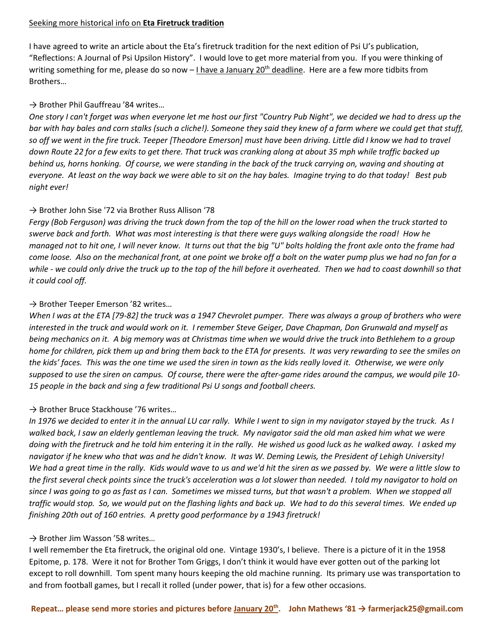#### Seeking more historical info on **Eta Firetruck tradition**

I have agreed to write an article about the Eta's firetruck tradition for the next edition of Psi U's publication, "Reflections: A Journal of Psi Upsilon History". I would love to get more material from you. If you were thinking of writing something for me, please do so now  $-1$  have a January 20<sup>th</sup> deadline. Here are a few more tidbits from Brothers…

#### $\rightarrow$  Brother Phil Gauffreau '84 writes...

*One story I can't forget was when everyone let me host our first "Country Pub Night", we decided we had to dress up the bar with hay bales and corn stalks (such a cliche!). Someone they said they knew of a farm where we could get that stuff, so off we went in the fire truck. Teeper [Theodore Emerson] must have been driving. Little did I know we had to travel down Route 22 for a few exits to get there. That truck was cranking along at about 35 mph while traffic backed up behind us, horns honking. Of course, we were standing in the back of the truck carrying on, waving and shouting at everyone. At least on the way back we were able to sit on the hay bales. Imagine trying to do that today! Best pub night ever!*

## $\rightarrow$  Brother John Sise '72 via Brother Russ Allison '78

*Fergy (Bob Ferguson) was driving the truck down from the top of the hill on the lower road when the truck started to swerve back and forth. What was most interesting is that there were guys walking alongside the road! How he managed not to hit one, I will never know. It turns out that the big "U" bolts holding the front axle onto the frame had come loose. Also on the mechanical front, at one point we broke off a bolt on the water pump plus we had no fan for a while - we could only drive the truck up to the top of the hill before it overheated. Then we had to coast downhill so that it could cool off.*

# $\rightarrow$  Brother Teeper Emerson '82 writes...

*When I was at the ETA [79-82] the truck was a 1947 Chevrolet pumper. There was always a group of brothers who were interested in the truck and would work on it. I remember Steve Geiger, Dave Chapman, Don Grunwald and myself as being mechanics on it. A big memory was at Christmas time when we would drive the truck into Bethlehem to a group home for children, pick them up and bring them back to the ETA for presents. It was very rewarding to see the smiles on the kids' faces. This was the one time we used the siren in town as the kids really loved it. Otherwise, we were only supposed to use the siren on campus. Of course, there were the after-game rides around the campus, we would pile 10- 15 people in the back and sing a few traditional Psi U songs and football cheers.*

# $\rightarrow$  Brother Bruce Stackhouse '76 writes...

*In 1976 we decided to enter it in the annual LU car rally. While I went to sign in my navigator stayed by the truck. As I walked back, I saw an elderly gentleman leaving the truck. My navigator said the old man asked him what we were doing with the firetruck and he told him entering it in the rally. He wished us good luck as he walked away. I asked my navigator if he knew who that was and he didn't know. It was W. Deming Lewis, the President of Lehigh University! We had a great time in the rally. Kids would wave to us and we'd hit the siren as we passed by. We were a little slow to the first several check points since the truck's acceleration was a lot slower than needed. I told my navigator to hold on since I was going to go as fast as I can. Sometimes we missed turns, but that wasn't a problem. When we stopped all traffic would stop. So, we would put on the flashing lights and back up. We had to do this several times. We ended up finishing 20th out of 160 entries. A pretty good performance by a 1943 firetruck!*

# $\rightarrow$  Brother Jim Wasson '58 writes...

I well remember the Eta firetruck, the original old one. Vintage 1930's, I believe. There is a picture of it in the 1958 Epitome, p. 178. Were it not for Brother Tom Griggs, I don't think it would have ever gotten out of the parking lot except to roll downhill. Tom spent many hours keeping the old machine running. Its primary use was transportation to and from football games, but I recall it rolled (under power, that is) for a few other occasions.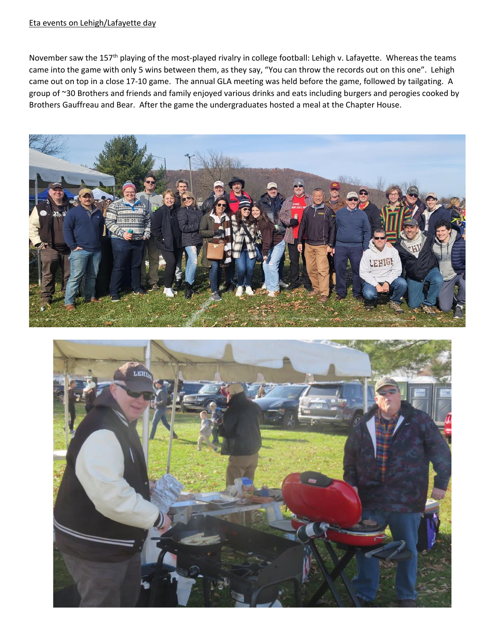#### Eta events on Lehigh/Lafayette day

November saw the 157<sup>th</sup> playing of the most-played rivalry in college football: Lehigh v. Lafayette. Whereas the teams came into the game with only 5 wins between them, as they say, "You can throw the records out on this one". Lehigh came out on top in a close 17-10 game. The annual GLA meeting was held before the game, followed by tailgating. A group of ~30 Brothers and friends and family enjoyed various drinks and eats including burgers and perogies cooked by Brothers Gauffreau and Bear. After the game the undergraduates hosted a meal at the Chapter House.



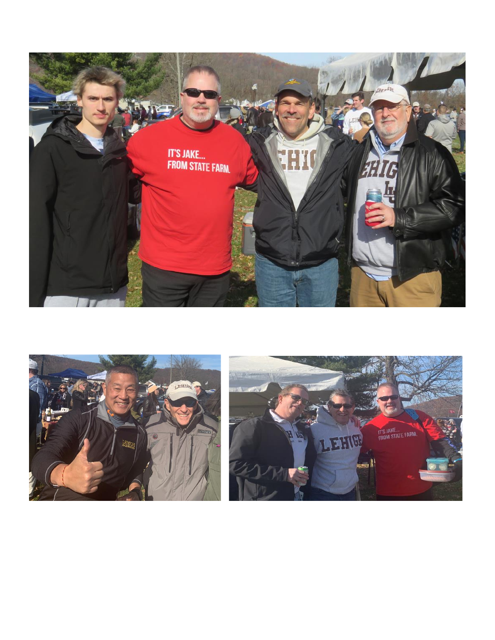